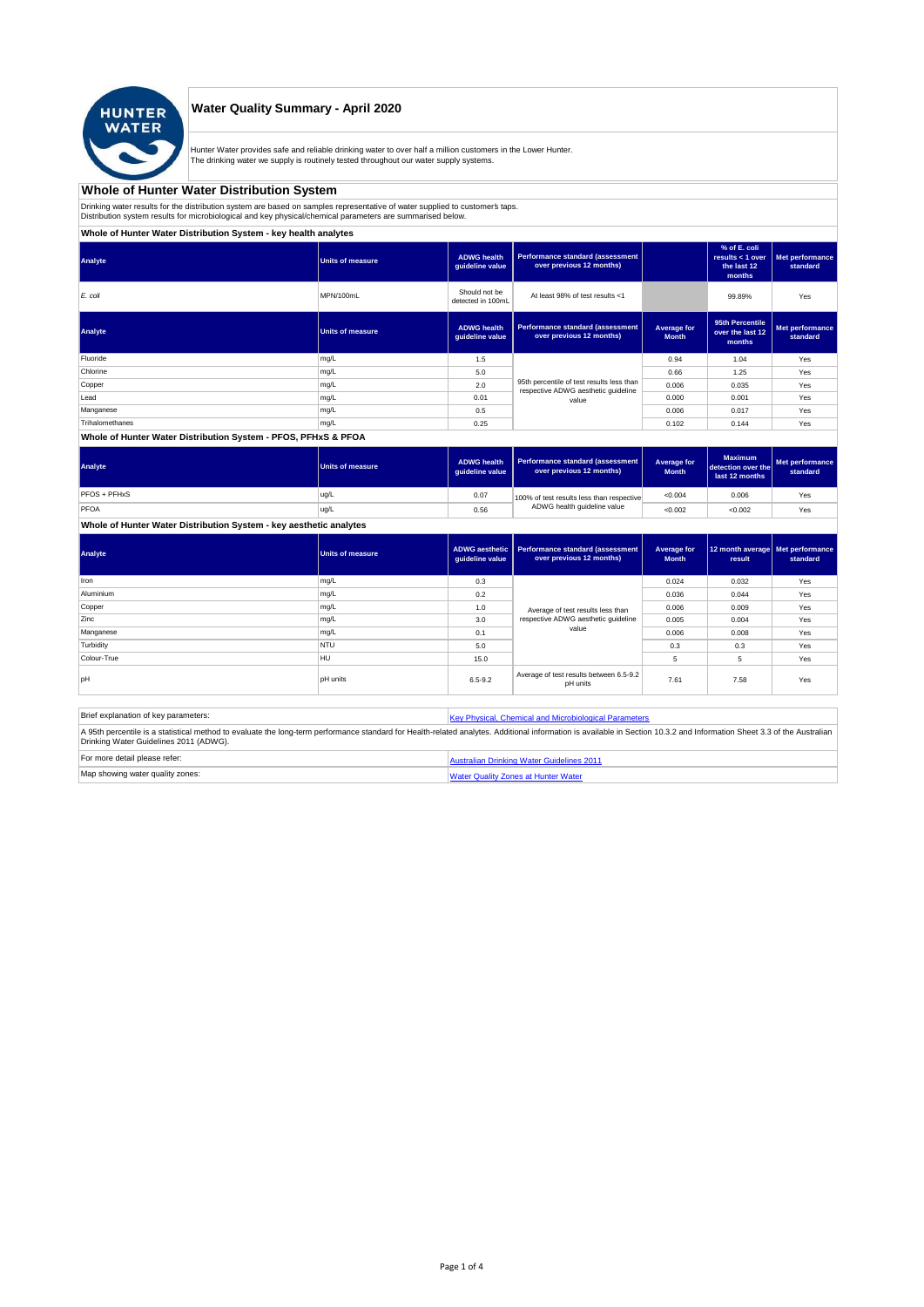

### **Water Quality Summary - April 2020**

Hunter Water provides safe and reliable drinking water to over half a million customers in the Lower Hunter. The drinking water we supply is routinely tested throughout our water supply systems.

# **Whole of Hunter Water Distribution System**

Drinking water results for the distribution system are based on samples representative of water supplied to customer' taps.<br>Distribution system results for microbiological and key physical/chemical parameters are summarise

**Whole of Hunter Water Distribution System - key health analytes**

| Analyte         | <b>Units of measure</b> | <b>ADWG health</b><br>guideline value | Performance standard (assessment<br>over previous 12 months)                     |                             | % of E. coli<br>results < 1 over<br>the last 12<br>months | Met performance<br>standard |
|-----------------|-------------------------|---------------------------------------|----------------------------------------------------------------------------------|-----------------------------|-----------------------------------------------------------|-----------------------------|
| E. coli         | MPN/100mL               | Should not be<br>detected in 100mL    | At least 98% of test results <1                                                  |                             | 99.89%                                                    | Yes                         |
| Analyte         | <b>Units of measure</b> | <b>ADWG health</b><br>guideline value | Performance standard (assessment<br>over previous 12 months)                     | Average for<br><b>Month</b> | 95th Percentile<br>over the last 12<br>months             | Met performance<br>standard |
| Fluoride        | mg/L                    | 1.5                                   |                                                                                  | 0.94                        | 1.04                                                      | Yes                         |
| Chlorine        | mg/L                    | 5.0                                   |                                                                                  | 0.66                        | 1.25                                                      | Yes                         |
| Copper          | mg/L                    | 2.0                                   | 95th percentile of test results less than<br>respective ADWG aesthetic quideline | 0.006                       | 0.035                                                     | Yes                         |
| Lead            | mg/L                    | 0.01                                  | value                                                                            | 0.000                       | 0.001                                                     | Yes                         |
| Manganese       | mg/L                    | 0.5                                   |                                                                                  | 0.006                       | 0.017                                                     | Yes                         |
| Trihalomethanes | mg/L                    | 0.25                                  |                                                                                  | 0.102                       | 0.144                                                     | Yes                         |
|                 |                         |                                       |                                                                                  |                             |                                                           |                             |

#### **Whole of Hunter Water Distribution System - PFOS, PFHxS & PFOA**

| Analyte      | <b>Units of measure</b> | <b>ADWG health</b><br>quideline value | Performance standard (assessment<br>over previous 12 months) | Average for<br><b>Month</b> | <b>Maximum</b><br>detection over the<br>last 12 months | Met performance<br>standard |
|--------------|-------------------------|---------------------------------------|--------------------------------------------------------------|-----------------------------|--------------------------------------------------------|-----------------------------|
| PFOS + PFHxS | ug/L                    | 0.07                                  | 100% of test results less than respective                    | < 0.004                     | 0.006                                                  | Yes                         |
| PFOA         | ug/L                    | 0.56                                  | ADWG health guideline value                                  | < 0.002                     | < 0.002                                                | Yes                         |

# **Whole of Hunter Water Distribution System - key aesthetic analytes**

| Analyte     | Units of measure | guideline value | ADWG aesthetic   Performance standard (assessment<br>over previous 12 months) | Average for<br><b>Month</b> | 12 month average   Met performance<br>result | standard |
|-------------|------------------|-----------------|-------------------------------------------------------------------------------|-----------------------------|----------------------------------------------|----------|
| Iron        | mg/L             | 0.3             |                                                                               | 0.024                       | 0.032                                        | Yes      |
| Aluminium   | mg/L             | 0.2             |                                                                               | 0.036                       | 0.044                                        | Yes      |
| Copper      | mg/L             | 1.0             | Average of test results less than                                             | 0.006                       | 0.009                                        | Yes      |
| Zinc        | mg/L             | 3.0             | respective ADWG aesthetic quideline                                           | 0.005                       | 0.004                                        | Yes      |
| Manganese   | mg/L             | 0.1             | value                                                                         | 0.006                       | 0.008                                        | Yes      |
| Turbidity   | <b>NTU</b>       | 5.0             |                                                                               | 0.3                         | 0.3                                          | Yes      |
| Colour-True | <b>HU</b>        | 15.0            |                                                                               | 5                           | 5                                            | Yes      |
| loH         | <b>pH</b> units  | $6.5 - 9.2$     | Average of test results between 6.5-9.2<br>pH units                           | 7.61                        | 7.58                                         | Yes      |

| Brief explanation of key parameters:   | Key Physical, Chemical and Microbiological Parameters                                                                                                                                                                   |
|----------------------------------------|-------------------------------------------------------------------------------------------------------------------------------------------------------------------------------------------------------------------------|
| Drinking Water Guidelines 2011 (ADWG). | A 95th percentile is a statistical method to evaluate the long-term performance standard for Health-related analytes. Additional information is available in Section 10.3.2 and Information Sheet 3.3 of the Australian |
| For more detail please refer:          | Australian Drinking Water Guidelines 2011                                                                                                                                                                               |
| Map showing water quality zones:       | <b>Water Quality Zones at Hunter Water</b>                                                                                                                                                                              |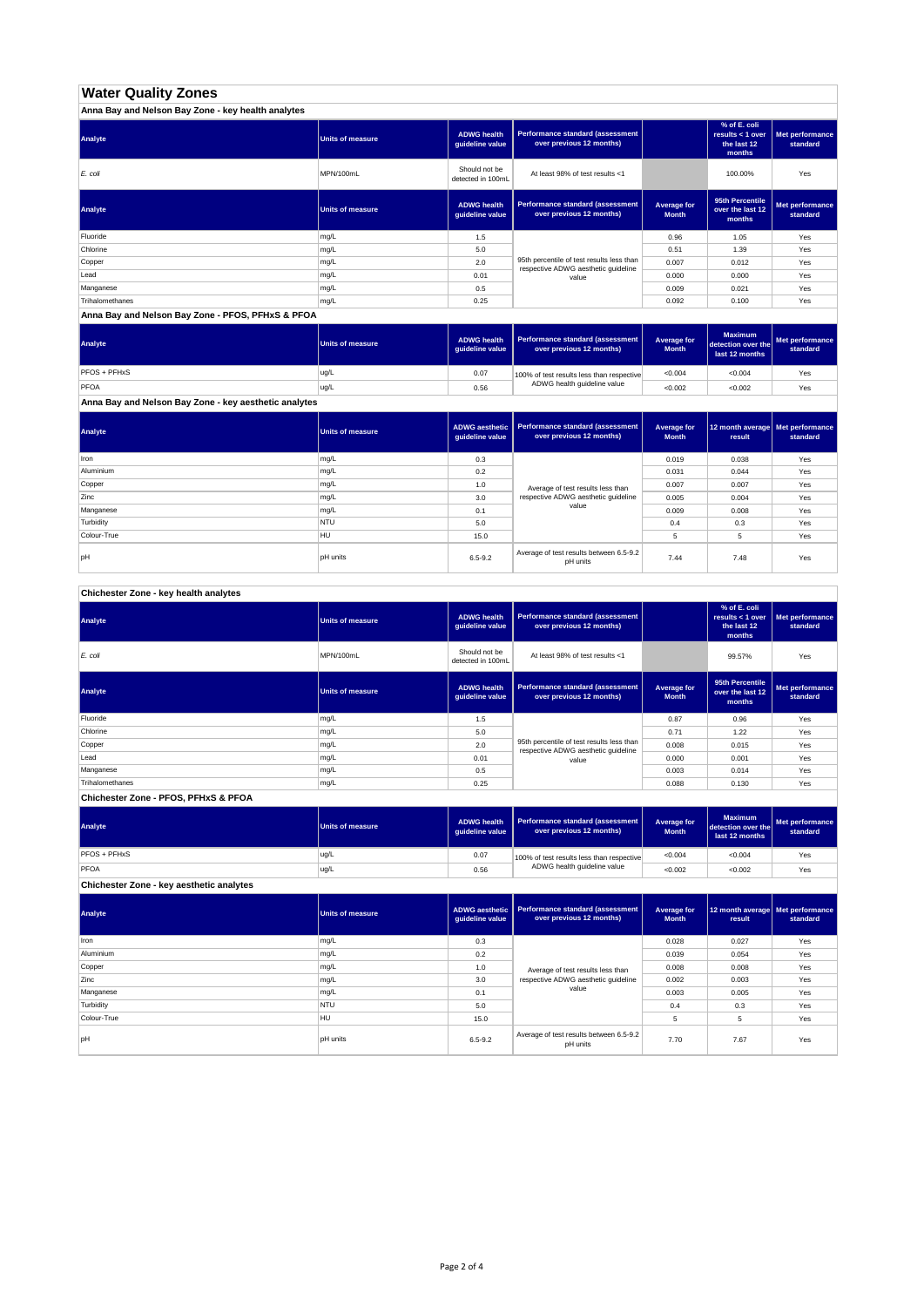# **Water Quality Zones**

| Anna Bay and Nelson Bay Zone - key health analytes |                         |                                       |                                                                                  |                             |                                                           |                             |
|----------------------------------------------------|-------------------------|---------------------------------------|----------------------------------------------------------------------------------|-----------------------------|-----------------------------------------------------------|-----------------------------|
| Analyte                                            | <b>Units of measure</b> | <b>ADWG health</b><br>quideline value | Performance standard (assessment<br>over previous 12 months)                     |                             | % of E. coli<br>results < 1 over<br>the last 12<br>months | Met performance<br>standard |
| E. coli                                            | MPN/100mL               | Should not be<br>detected in 100mL    | At least 98% of test results <1                                                  |                             | 100.00%                                                   | Yes                         |
| Analyte                                            | <b>Units of measure</b> | <b>ADWG health</b><br>guideline value | Performance standard (assessment<br>over previous 12 months)                     | Average for<br><b>Month</b> | 95th Percentile<br>over the last 12<br>months             | Met performance<br>standard |
| Fluoride                                           | mg/L                    | 1.5                                   |                                                                                  | 0.96                        | 1.05                                                      | Yes                         |
| Chlorine                                           | mg/L                    | 5.0                                   |                                                                                  | 0.51                        | 1.39                                                      | Yes                         |
| Copper                                             | mg/L                    | 2.0                                   | 95th percentile of test results less than<br>respective ADWG aesthetic quideline | 0.007                       | 0.012                                                     | Yes                         |
| Lead                                               | mg/L                    | 0.01                                  | value                                                                            | 0.000                       | 0.000                                                     | Yes                         |
| Manganese                                          | mg/L                    | 0.5                                   |                                                                                  | 0.009                       | 0.021                                                     | Yes                         |
| Trihalomethanes                                    | mg/L                    | 0.25                                  |                                                                                  | 0.092                       | 0.100                                                     | Yes                         |

**Anna Bay and Nelson Bay Zone - PFOS, PFHxS & PFOA**

| Analyte      | Units of measure | <b>ADWG health</b><br>quideline value | Performance standard (assessment<br>over previous 12 months) | <b>Average for</b><br><b>Month</b> | <b>Maximum</b><br>detection over the<br>last 12 months | Met performance<br>standard |
|--------------|------------------|---------------------------------------|--------------------------------------------------------------|------------------------------------|--------------------------------------------------------|-----------------------------|
| PFOS + PFHxS | ug/L             | 0.07                                  | 100% of test results less than respective                    | < 0.004                            | < 0.004                                                | Yes                         |
| PFOA         | ug/L             | 0.56                                  | ADWG health guideline value                                  | < 0.002                            | < 0.002                                                | Yes                         |

**Anna Bay and Nelson Bay Zone - key aesthetic analytes**

| Analyte     | Units of measure | guideline value | ADWG aesthetic   Performance standard (assessment<br>over previous 12 months) | Average for<br><b>Month</b> | 12 month average   Met performance<br>result | standard |
|-------------|------------------|-----------------|-------------------------------------------------------------------------------|-----------------------------|----------------------------------------------|----------|
| Iron        | mg/L             | 0.3             |                                                                               | 0.019                       | 0.038                                        | Yes      |
| Aluminium   | mg/L             | 0.2             |                                                                               | 0.031                       | 0.044                                        | Yes      |
| Copper      | mg/L             | 1.0             |                                                                               | 0.007                       | 0.007                                        | Yes      |
| Zinc        | mg/L             | 3.0             | Average of test results less than<br>respective ADWG aesthetic quideline      | 0.005                       | 0.004                                        | Yes      |
| Manganese   | mg/L             | 0.1             | value                                                                         | 0.009                       | 0.008                                        | Yes      |
| Turbidity   | <b>NTU</b>       | 5.0             |                                                                               | 0.4                         | 0.3                                          | Yes      |
| Colour-True | <b>HU</b>        | 15.0            |                                                                               |                             | 5                                            | Yes      |
| pH          | <b>pH</b> units  | $6.5 - 9.2$     | Average of test results between 6.5-9.2<br>pH units                           | 7.44                        | 7.48                                         | Yes      |

**Chichester Zone - key health analytes**

| Analyte         | <b>Units of measure</b> | <b>ADWG health</b><br>guideline value | Performance standard (assessment<br>over previous 12 months)                     |                             | % of E. coli<br>results $<$ 1 over<br>the last 12<br>months | Met performance<br>standard |
|-----------------|-------------------------|---------------------------------------|----------------------------------------------------------------------------------|-----------------------------|-------------------------------------------------------------|-----------------------------|
| E. coli         | MPN/100mL               | Should not be<br>detected in 100mL    | At least 98% of test results <1                                                  |                             | 99.57%                                                      | Yes                         |
| Analyte         | <b>Units of measure</b> | <b>ADWG health</b><br>guideline value | Performance standard (assessment<br>over previous 12 months)                     | Average for<br><b>Month</b> | 95th Percentile<br>over the last 12<br>months               | Met performance<br>standard |
| Fluoride        | mg/L                    | 1.5                                   |                                                                                  | 0.87                        | 0.96                                                        | Yes                         |
| Chlorine        | mg/L                    | 5.0                                   |                                                                                  | 0.71                        | 1.22                                                        | Yes                         |
| Copper          | mg/L                    | 2.0                                   | 95th percentile of test results less than<br>respective ADWG aesthetic quideline | 0.008                       | 0.015                                                       | Yes                         |
| Lead            | mg/L                    | 0.01                                  | value                                                                            | 0.000                       | 0.001                                                       | Yes                         |
| Manganese       | mg/L                    | 0.5                                   |                                                                                  | 0.003                       | 0.014                                                       | Yes                         |
| Trihalomethanes | mg/L                    | 0.25                                  |                                                                                  | 0.088                       | 0.130                                                       | Yes                         |

**Chichester Zone - PFOS, PFHxS & PFOA**

| Analyte                                  | Units of measure | <b>ADWG health</b><br>guideline value | <b>Performance standard (assessment</b><br>over previous 12 months) | Average for<br><b>Month</b> | <b>Maximum</b><br>detection over the<br>last 12 months | Met performance<br>standard |
|------------------------------------------|------------------|---------------------------------------|---------------------------------------------------------------------|-----------------------------|--------------------------------------------------------|-----------------------------|
| PFOS + PFHxS                             | ug/L             | 0.07                                  | 100% of test results less than respective                           | < 0.004                     | < 0.004                                                | Yes                         |
| PFOA                                     | ug/L             | 0.56                                  | ADWG health guideline value                                         | < 0.002                     | < 0.002                                                | Yes                         |
| Chichester Zone - key aesthetic analytes |                  |                                       |                                                                     |                             |                                                        |                             |

| Analyte     | <b>Units of measure</b> | ADWG aesthetic<br>guideline value | Performance standard (assessment<br>over previous 12 months) | Average for<br><b>Month</b> | 12 month average Met performance<br>result | standard |
|-------------|-------------------------|-----------------------------------|--------------------------------------------------------------|-----------------------------|--------------------------------------------|----------|
| Iron        | mg/L                    | 0.3                               |                                                              | 0.028                       | 0.027                                      | Yes      |
| Aluminium   | mg/L                    | 0.2                               |                                                              | 0.039                       | 0.054                                      | Yes      |
| Copper      | mg/L                    | 1.0                               | Average of test results less than                            | 0.008                       | 0.008                                      | Yes      |
| Zinc        | mg/L                    | 3.0                               | respective ADWG aesthetic quideline                          | 0.002                       | 0.003                                      | Yes      |
| Manganese   | mg/L                    | 0.1                               | value                                                        | 0.003                       | 0.005                                      | Yes      |
| Turbidity   | <b>NTU</b>              | 5.0                               |                                                              | 0.4                         | 0.3                                        | Yes      |
| Colour-True | <b>HU</b>               | 15.0                              |                                                              | 5                           | 5                                          | Yes      |
| pH          | <b>pH</b> units         | $6.5 - 9.2$                       | Average of test results between 6.5-9.2<br>pH units          | 7.70                        | 7.67                                       | Yes      |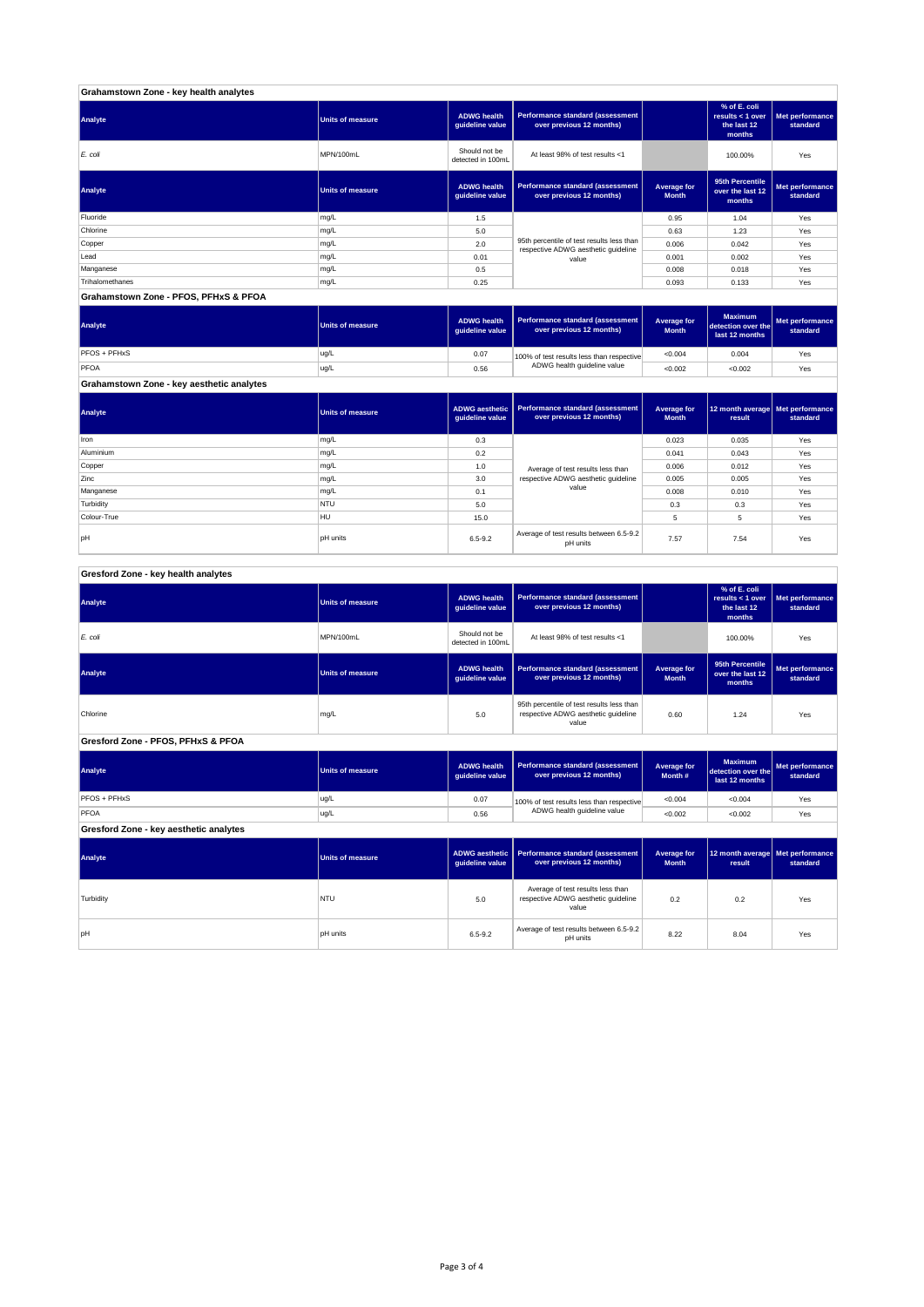| Grahamstown Zone - key health analytes |                         |                                       |                                                                                  |                             |                                                           |                             |
|----------------------------------------|-------------------------|---------------------------------------|----------------------------------------------------------------------------------|-----------------------------|-----------------------------------------------------------|-----------------------------|
| Analyte                                | <b>Units of measure</b> | <b>ADWG health</b><br>guideline value | Performance standard (assessment<br>over previous 12 months)                     |                             | % of E. coli<br>results < 1 over<br>the last 12<br>months | Met performance<br>standard |
| E. coli                                | MPN/100mL               | Should not be<br>detected in 100mL    | At least 98% of test results <1                                                  |                             | 100.00%                                                   | Yes                         |
| Analyte                                | <b>Units of measure</b> | <b>ADWG health</b><br>guideline value | Performance standard (assessment<br>over previous 12 months)                     | Average for<br><b>Month</b> | 95th Percentile<br>over the last 12<br>months             | Met performance<br>standard |
| Fluoride                               | mg/L                    | 1.5                                   |                                                                                  | 0.95                        | 1.04                                                      | Yes                         |
| Chlorine                               | mg/L                    | 5.0                                   |                                                                                  | 0.63                        | 1.23                                                      | Yes                         |
| Copper                                 | mg/L                    | 2.0                                   | 95th percentile of test results less than<br>respective ADWG aesthetic quideline | 0.006                       | 0.042                                                     | Yes                         |
| Lead                                   | mg/L                    | 0.01                                  | value                                                                            | 0.001                       | 0.002                                                     | Yes                         |
| Manganese                              | mg/L                    | 0.5                                   |                                                                                  | 0.008                       | 0.018                                                     | Yes                         |
| Trihalomethanes                        | mg/L                    | 0.25                                  |                                                                                  | 0.093                       | 0.133                                                     | Yes                         |
| Grahamstown Zone - PFOS, PFHxS & PFOA  |                         |                                       |                                                                                  |                             |                                                           |                             |

| Analyte                                   | <b>Units of measure</b> | <b>ADWG health</b><br>quideline value | Performance standard (assessment<br>over previous 12 months) | Average for<br><b>Month</b> | <b>Maximum</b><br>detection over the<br>last 12 months | Met performance<br>standard |
|-------------------------------------------|-------------------------|---------------------------------------|--------------------------------------------------------------|-----------------------------|--------------------------------------------------------|-----------------------------|
| PFOS + PFHxS                              | ug/L                    | 0.07                                  | 100% of test results less than respective                    | < 0.004                     | 0.004                                                  | Yes                         |
| PFOA                                      | ug/L                    | 0.56                                  | ADWG health guideline value                                  | < 0.002                     | < 0.002                                                | Yes                         |
| Grahamstown Zone - key aesthetic analytes |                         |                                       |                                                              |                             |                                                        |                             |

**Average for** 

**Performance standard (assessrent)** 

**12 month average Met performance** 

**ADWG aesth** 

| $\overline{\phantom{a}}$ |            | guideline value | over previous 12 months)                            | <b>Month</b> | result | standard |
|--------------------------|------------|-----------------|-----------------------------------------------------|--------------|--------|----------|
| <b>Iron</b>              | mg/L       | 0.3             |                                                     | 0.023        | 0.035  | Yes      |
| Aluminium                | mg/L       | 0.2             |                                                     | 0.041        | 0.043  | Yes      |
| Copper                   | mg/L       | 1.0             | Average of test results less than                   | 0.006        | 0.012  | Yes      |
| Zinc                     | mg/L       | 3.0             | respective ADWG aesthetic quideline                 | 0.005        | 0.005  | Yes      |
| Manganese                | mg/L       | 0.1             | value                                               | 0.008        | 0.010  | Yes      |
| Turbidity                | <b>NTU</b> | 5.0             |                                                     | 0.3          | 0.3    | Yes      |
| Colour-True              | <b>HU</b>  | 15.0            |                                                     | 5            | ь      | Yes      |
| IpH                      | pH units   | $6.5 - 9.2$     | Average of test results between 6.5-9.2<br>pH units | 7.57         | 7.54   | Yes      |

| Gresford Zone - key health analytes |  |
|-------------------------------------|--|

| Analyte                                | <b>Units of measure</b> | <b>ADWG health</b><br>guideline value    | Performance standard (assessment<br>over previous 12 months)                              |                                    | % of E. coli<br>results < 1 over<br>the last 12<br>months | Met performance<br>standard |
|----------------------------------------|-------------------------|------------------------------------------|-------------------------------------------------------------------------------------------|------------------------------------|-----------------------------------------------------------|-----------------------------|
| E. coli                                | MPN/100mL               | Should not be<br>detected in 100mL       | At least 98% of test results <1                                                           |                                    | 100.00%                                                   | Yes                         |
| Analyte                                | <b>Units of measure</b> | <b>ADWG health</b><br>guideline value    | <b>Performance standard (assessment</b><br>over previous 12 months)                       | <b>Average for</b><br><b>Month</b> | 95th Percentile<br>over the last 12<br>months             | Met performance<br>standard |
| Chlorine                               | mg/L                    | 5.0                                      | 95th percentile of test results less than<br>respective ADWG aesthetic quideline<br>value | 0.60                               | 1.24                                                      | Yes                         |
| Gresford Zone - PFOS, PFHxS & PFOA     |                         |                                          |                                                                                           |                                    |                                                           |                             |
| Analyte                                | <b>Units of measure</b> | <b>ADWG health</b><br>guideline value    | <b>Performance standard (assessment</b><br>over previous 12 months)                       | <b>Average for</b><br>Month #      | <b>Maximum</b><br>detection over the<br>last 12 months    | Met performance<br>standard |
| PFOS + PFHxS                           | ug/L                    | 0.07                                     | 100% of test results less than respective                                                 | < 0.004                            | < 0.004                                                   | Yes                         |
| PFOA                                   | ug/L                    | ADWG health guideline value<br>0.56      |                                                                                           | < 0.002                            | < 0.002                                                   | Yes                         |
| Gresford Zone - key aesthetic analytes |                         |                                          |                                                                                           |                                    |                                                           |                             |
| Analyte                                | <b>Units of measure</b> | <b>ADWG</b> aesthetic<br>guideline value | <b>Performance standard (assessment</b><br>over previous 12 months)                       | <b>Average for</b><br><b>Month</b> | 12 month average<br>result                                | Met performance<br>standard |
| Turbidity                              | <b>NTU</b>              | 5.0                                      | Average of test results less than<br>respective ADWG aesthetic quideline<br>value         | 0.2                                | 0.2                                                       | Yes                         |
|                                        |                         |                                          | Average of test results between 6.5-9.2                                                   |                                    |                                                           |                             |